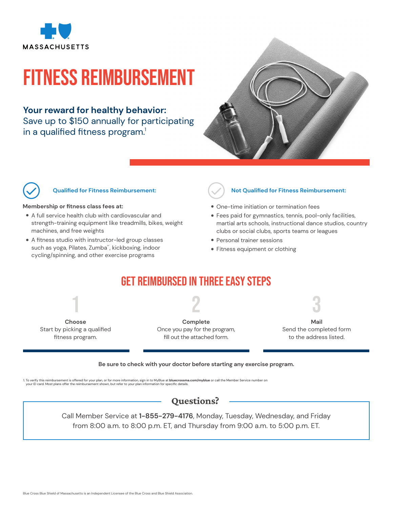

# Fitness Reimbursement

### **Your reward for healthy behavior:**

Save up to \$150 annually for participating in a qualified fitness program.<sup>1</sup>





#### **Qualified for Fitness Reimbursement:**

#### **Membership or fitness class fees at:**

- A full service health club with cardiovascular and strength-training equipment like treadmills, bikes, weight machines, and free weights
- A fitness studio with instructor-led group classes such as yoga, Pilates, Zumba®, kickboxing, indoor cycling/spinning, and other exercise programs



#### **Not Qualified for Fitness Reimbursement:**

- One-time initiation or termination fees
- Fees paid for gymnastics, tennis, pool-only facilities, martial arts schools, instructional dance studios, country clubs or social clubs, sports teams or leagues
- Personal trainer sessions
- Fitness equipment or clothing

## Get Reimbursed in Three Easy Steps

2



**Complete** Once you pay for the program, fill out the attached form.

3 **Mail** Send the completed form

to the address listed.

#### **Be sure to check with your doctor before starting any exercise program.**

1. To verify this reimbursement is offered for your plan, or for more information, sign in to MyBlue a**t bluecrossma.com/myblue** or call the Member Service number on<br>your ID card. Most plans offer the reimbursement shown,

## Questions?

Call Member Service at **1-855-279-4176**, Monday, Tuesday, Wednesday, and Friday from 8:00 a.m. to 8:00 p.m. ET, and Thursday from 9:00 a.m. to 5:00 p.m. ET.